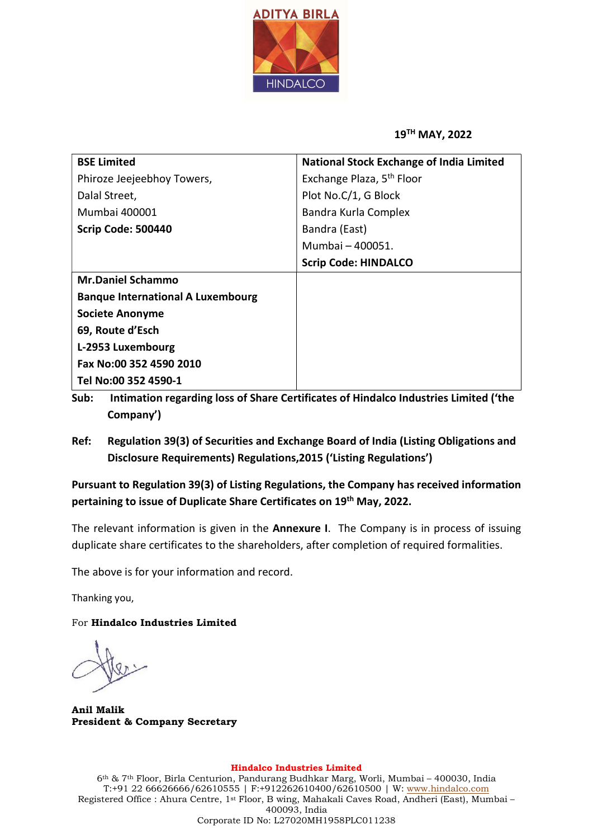

## 19TH MAY, 2022

| <b>National Stock Exchange of India Limited</b> |  |  |
|-------------------------------------------------|--|--|
| Exchange Plaza, 5 <sup>th</sup> Floor           |  |  |
| Plot No.C/1, G Block                            |  |  |
| Bandra Kurla Complex                            |  |  |
| Bandra (East)                                   |  |  |
| Mumbai - 400051.                                |  |  |
| <b>Scrip Code: HINDALCO</b>                     |  |  |
|                                                 |  |  |
|                                                 |  |  |
|                                                 |  |  |
|                                                 |  |  |
|                                                 |  |  |
|                                                 |  |  |
|                                                 |  |  |
|                                                 |  |  |

Sub: Intimation regarding loss of Share Certificates of Hindalco Industries Limited ('the Company')

Ref: Regulation 39(3) of Securities and Exchange Board of India (Listing Obligations and Disclosure Requirements) Regulations,2015 ('Listing Regulations')

Pursuant to Regulation 39(3) of Listing Regulations, the Company has received information pertaining to issue of Duplicate Share Certificates on 19<sup>th</sup> May, 2022.

The relevant information is given in the **Annexure I**. The Company is in process of issuing duplicate share certificates to the shareholders, after completion of required formalities.

The above is for your information and record.

Thanking you,

For Hindalco Industries Limited

Anil Malik President & Company Secretary

## Hindalco Industries Limited

6th & 7th Floor, Birla Centurion, Pandurang Budhkar Marg, Worli, Mumbai – 400030, India T:+91 22 66626666/62610555 | F:+912262610400/62610500 | W: www.hindalco.com Registered Office : Ahura Centre, 1st Floor, B wing, Mahakali Caves Road, Andheri (East), Mumbai – 400093, India Corporate ID No: L27020MH1958PLC011238